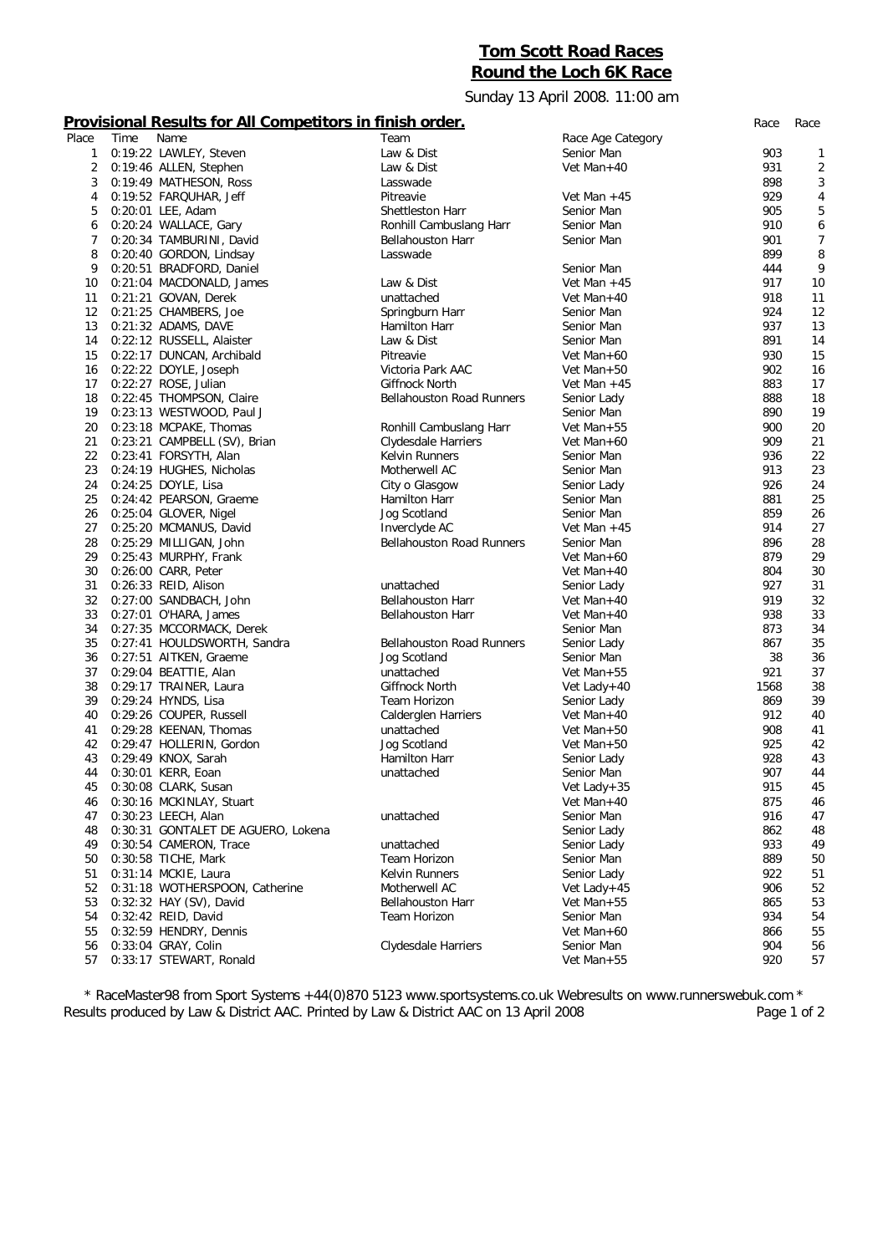# **Tom Scott Road Races Round the Loch 6K Race**

## Sunday 13 April 2008. 11:00 am

### **Provisional Results for All Competitors in finish order.** *Race Race*

| Place | Time | Name                               | Team                             | Race Age Category |      |                |
|-------|------|------------------------------------|----------------------------------|-------------------|------|----------------|
| 1     |      | 0:19:22 LAWLEY, Steven             | Law & Dist                       | Senior Man        | 903  | 1              |
| 2     |      | 0:19:46 ALLEN, Stephen             | Law & Dist                       | Vet Man+40        | 931  | $\overline{2}$ |
| 3     |      | 0:19:49 MATHESON, Ross             | Lasswade                         |                   | 898  | 3              |
| 4     |      | 0:19:52 FARQUHAR, Jeff             | Pitreavie                        | Vet Man $+45$     | 929  | 4              |
| 5     |      | 0:20:01 LEE, Adam                  | Shettleston Harr                 | Senior Man        | 905  | 5              |
| 6     |      | 0:20:24 WALLACE, Gary              | Ronhill Cambuslang Harr          | Senior Man        | 910  | 6              |
| 7     |      | 0:20:34 TAMBURINI, David           | <b>Bellahouston Harr</b>         | Senior Man        | 901  | $\overline{7}$ |
| 8     |      | 0:20:40 GORDON, Lindsay            | Lasswade                         |                   | 899  | 8              |
| 9     |      | 0:20:51 BRADFORD, Daniel           |                                  | Senior Man        | 444  | 9              |
|       |      |                                    |                                  |                   | 917  |                |
| 10    |      | 0:21:04 MACDONALD, James           | Law & Dist                       | Vet Man $+45$     |      | 10             |
| 11    |      | 0:21:21 GOVAN, Derek               | unattached                       | Vet Man+40        | 918  | 11             |
| 12    |      | 0:21:25 CHAMBERS, Joe              | Springburn Harr                  | Senior Man        | 924  | 12             |
| 13    |      | 0:21:32 ADAMS, DAVE                | Hamilton Harr                    | Senior Man        | 937  | 13             |
| 14    |      | 0:22:12 RUSSELL, Alaister          | Law & Dist                       | Senior Man        | 891  | 14             |
| 15    |      | 0:22:17 DUNCAN, Archibald          | Pitreavie                        | Vet Man+60        | 930  | 15             |
| 16    |      | 0:22:22 DOYLE, Joseph              | Victoria Park AAC                | Vet Man+50        | 902  | 16             |
| 17    |      | 0:22:27 ROSE, Julian               | Giffnock North                   | Vet Man $+45$     | 883  | 17             |
| 18    |      | 0:22:45 THOMPSON, Claire           | Bellahouston Road Runners        | Senior Lady       | 888  | 18             |
| 19    |      | 0:23:13 WESTWOOD, Paul J           |                                  | Senior Man        | 890  | 19             |
| 20    |      | 0:23:18 MCPAKE, Thomas             | Ronhill Cambuslang Harr          | Vet Man+55        | 900  | 20             |
| 21    |      | 0:23:21 CAMPBELL (SV), Brian       | Clydesdale Harriers              | Vet Man+60        | 909  | 21             |
| 22    |      | 0:23:41 FORSYTH, Alan              | <b>Kelvin Runners</b>            | Senior Man        | 936  | 22             |
| 23    |      | 0:24:19 HUGHES, Nicholas           | Motherwell AC                    | Senior Man        | 913  | 23             |
| 24    |      | 0:24:25 DOYLE, Lisa                | City o Glasgow                   | Senior Lady       | 926  | 24             |
| 25    |      | 0:24:42 PEARSON, Graeme            | Hamilton Harr                    | Senior Man        | 881  | 25             |
| 26    |      | 0:25:04 GLOVER, Nigel              | Jog Scotland                     | Senior Man        | 859  | 26             |
| 27    |      |                                    |                                  |                   | 914  | 27             |
|       |      | 0:25:20 MCMANUS, David             | Inverclyde AC                    | Vet Man $+45$     |      |                |
| 28    |      | 0:25:29 MILLIGAN, John             | <b>Bellahouston Road Runners</b> | Senior Man        | 896  | 28             |
| 29    |      | 0:25:43 MURPHY, Frank              |                                  | Vet Man+60        | 879  | 29             |
| 30    |      | 0:26:00 CARR, Peter                |                                  | Vet Man+40        | 804  | 30             |
| 31    |      | 0:26:33 REID, Alison               | unattached                       | Senior Lady       | 927  | 31             |
| 32    |      | 0:27:00 SANDBACH, John             | <b>Bellahouston Harr</b>         | Vet Man+40        | 919  | 32             |
| 33    |      | 0:27:01 O'HARA, James              | <b>Bellahouston Harr</b>         | Vet Man+40        | 938  | 33             |
| 34    |      | 0:27:35 MCCORMACK, Derek           |                                  | Senior Man        | 873  | 34             |
| 35    |      | 0:27:41 HOULDSWORTH, Sandra        | <b>Bellahouston Road Runners</b> | Senior Lady       | 867  | 35             |
| 36    |      | 0:27:51 AITKEN, Graeme             | Jog Scotland                     | Senior Man        | 38   | 36             |
| 37    |      | 0:29:04 BEATTIE, Alan              | unattached                       | Vet Man+55        | 921  | 37             |
| 38    |      | 0:29:17 TRAINER, Laura             | Giffnock North                   | Vet Lady+40       | 1568 | 38             |
| 39    |      | 0:29:24 HYNDS, Lisa                | Team Horizon                     | Senior Lady       | 869  | 39             |
| 40    |      | 0:29:26 COUPER, Russell            | Calderglen Harriers              | Vet Man+40        | 912  | 40             |
| 41    |      | 0:29:28 KEENAN, Thomas             | unattached                       | Vet Man+50        | 908  | 41             |
| 42    |      | 0:29:47 HOLLERIN, Gordon           | Jog Scotland                     | Vet Man+50        | 925  | 42             |
| 43    |      | 0:29:49 KNOX, Sarah                | Hamilton Harr                    | Senior Lady       | 928  | 43             |
| 44    |      | 0:30:01 KERR, Eoan                 | unattached                       | Senior Man        | 907  | 44             |
| 45    |      |                                    |                                  |                   | 915  | 45             |
|       |      | 0:30:08 CLARK, Susan               |                                  | Vet Lady+35       |      |                |
| 46    |      | 0:30:16 MCKINLAY, Stuart           |                                  | Vet Man+40        | 875  | 46             |
| 47    |      | 0:30:23 LEECH, Alan                | unattached                       | Senior Man        | 916  | 47             |
| 48    |      | 0:30:31 GONTALET DE AGUERO, Lokena |                                  | Senior Lady       | 862  | 48             |
| 49    |      | 0:30:54 CAMERON, Trace             | unattached                       | Senior Lady       | 933  | 49             |
| 50    |      | 0:30:58 TICHE, Mark                | Team Horizon                     | Senior Man        | 889  | 50             |
| 51    |      | 0:31:14 MCKIE, Laura               | <b>Kelvin Runners</b>            | Senior Lady       | 922  | 51             |
| 52    |      | 0:31:18 WOTHERSPOON, Catherine     | Motherwell AC                    | Vet Lady + $45$   | 906  | 52             |
| 53    |      | 0:32:32 HAY (SV), David            | <b>Bellahouston Harr</b>         | Vet Man+55        | 865  | 53             |
| 54    |      | 0:32:42 REID, David                | Team Horizon                     | Senior Man        | 934  | 54             |
| 55    |      | 0:32:59 HENDRY, Dennis             |                                  | Vet Man+60        | 866  | 55             |
| 56    |      | 0:33:04 GRAY, Colin                | Clydesdale Harriers              | Senior Man        | 904  | 56             |
| 57    |      | 0:33:17 STEWART, Ronald            |                                  | Vet Man+55        | 920  | 57             |
|       |      |                                    |                                  |                   |      |                |

*\* RaceMaster98 from Sport Systems +44(0)870 5123 www.sportsystems.co.uk Webresults on www.runnerswebuk.com \** Results produced by Law & District AAC. Printed by Law & District AAC on 13 April 2008